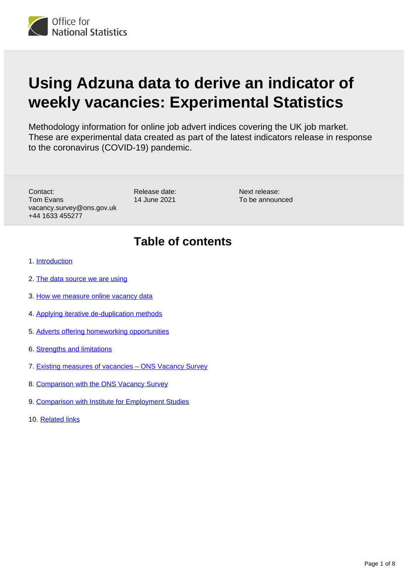

# **Using Adzuna data to derive an indicator of weekly vacancies: Experimental Statistics**

Methodology information for online job advert indices covering the UK job market. These are experimental data created as part of the latest indicators release in response to the coronavirus (COVID-19) pandemic.

Contact: Tom Evans vacancy.survey@ons.gov.uk +44 1633 455277

Release date: 14 June 2021

Next release: To be announced

### **Table of contents**

- 1. [Introduction](#page-1-0)
- 2. [The data source we are using](#page-1-1)
- 3. [How we measure online vacancy data](#page-1-2)
- 4. [Applying iterative de-duplication methods](#page-3-0)
- 5. [Adverts offering homeworking opportunities](#page-3-1)
- 6. [Strengths and limitations](#page-4-0)
- 7. [Existing measures of vacancies ONS Vacancy Survey](#page-5-0)
- 8. [Comparison with the ONS Vacancy Survey](#page-6-0)
- 9. [Comparison with Institute for Employment Studies](#page-6-1)
- 10. [Related links](#page-7-0)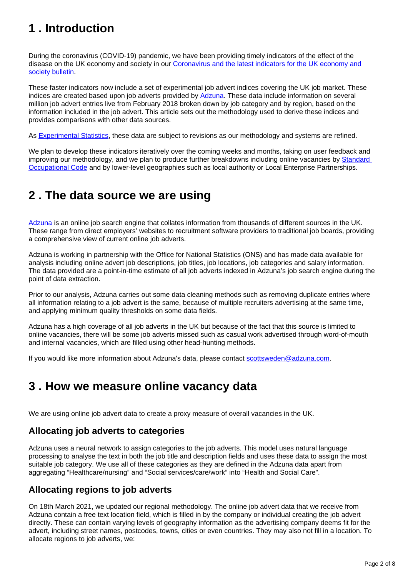## <span id="page-1-0"></span>**1 . Introduction**

During the coronavirus (COVID-19) pandemic, we have been providing timely indicators of the effect of the disease on the UK economy and society in our Coronavirus and the latest indicators for the UK economy and [society bulletin](https://www.ons.gov.uk/peoplepopulationandcommunity/healthandsocialcare/conditionsanddiseases/bulletins/coronavirustheukeconomyandsocietyfasterindicators/latest).

These faster indicators now include a set of experimental job advert indices covering the UK job market. These indices are created based upon job adverts provided by [Adzuna.](https://www.adzuna.co.uk/) These data include information on several million job advert entries live from February 2018 broken down by job category and by region, based on the information included in the job advert. This article sets out the methodology used to derive these indices and provides comparisons with other data sources.

As [Experimental Statistics](https://www.ons.gov.uk/methodology/methodologytopicsandstatisticalconcepts/guidetoexperimentalstatistics), these data are subject to revisions as our methodology and systems are refined.

We plan to develop these indicators iteratively over the coming weeks and months, taking on user feedback and improving our methodology, and we plan to produce further breakdowns including online vacancies by Standard [Occupational Code](https://www.ons.gov.uk/methodology/classificationsandstandards/standardoccupationalclassificationsoc) and by lower-level geographies such as local authority or Local Enterprise Partnerships.

### <span id="page-1-1"></span>**2 . The data source we are using**

[Adzuna](https://www.adzuna.co.uk/) is an online job search engine that collates information from thousands of different sources in the UK. These range from direct employers' websites to recruitment software providers to traditional job boards, providing a comprehensive view of current online job adverts.

Adzuna is working in partnership with the Office for National Statistics (ONS) and has made data available for analysis including online advert job descriptions, job titles, job locations, job categories and salary information. The data provided are a point-in-time estimate of all job adverts indexed in Adzuna's job search engine during the point of data extraction.

Prior to our analysis, Adzuna carries out some data cleaning methods such as removing duplicate entries where all information relating to a job advert is the same, because of multiple recruiters advertising at the same time, and applying minimum quality thresholds on some data fields.

Adzuna has a high coverage of all job adverts in the UK but because of the fact that this source is limited to online vacancies, there will be some job adverts missed such as casual work advertised through word-of-mouth and internal vacancies, which are filled using other head-hunting methods.

If you would like more information about Adzuna's data, please contact [scottsweden@adzuna.com.](mailto:scottsweden@adzuna.com)

### <span id="page-1-2"></span>**3 . How we measure online vacancy data**

We are using online job advert data to create a proxy measure of overall vacancies in the UK.

### **Allocating job adverts to categories**

Adzuna uses a neural network to assign categories to the job adverts. This model uses natural language processing to analyse the text in both the job title and description fields and uses these data to assign the most suitable job category. We use all of these categories as they are defined in the Adzuna data apart from aggregating "Healthcare/nursing" and "Social services/care/work" into "Health and Social Care".

#### **Allocating regions to job adverts**

On 18th March 2021, we updated our regional methodology. The online job advert data that we receive from Adzuna contain a free text location field, which is filled in by the company or individual creating the job advert directly. These can contain varying levels of geography information as the advertising company deems fit for the advert, including street names, postcodes, towns, cities or even countries. They may also not fill in a location. To allocate regions to job adverts, we: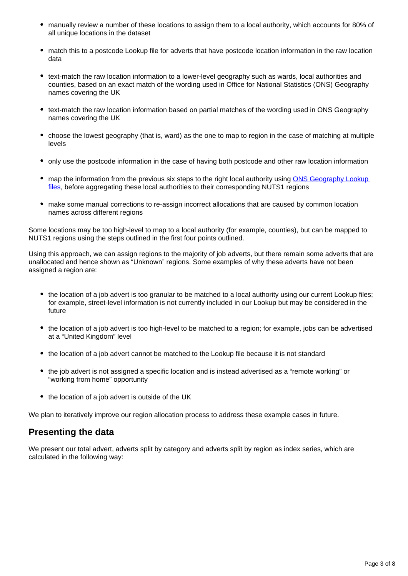- manually review a number of these locations to assign them to a local authority, which accounts for 80% of all unique locations in the dataset
- match this to a postcode Lookup file for adverts that have postcode location information in the raw location data
- text-match the raw location information to a lower-level geography such as wards, local authorities and counties, based on an exact match of the wording used in Office for National Statistics (ONS) Geography names covering the UK
- text-match the raw location information based on partial matches of the wording used in ONS Geography names covering the UK
- choose the lowest geography (that is, ward) as the one to map to region in the case of matching at multiple levels
- only use the postcode information in the case of having both postcode and other raw location information
- map the information from the previous six steps to the right local authority using ONS Geography Lookup [files,](http://geoportal.statistics.gov.uk/datasets/0fa948d8a59d4ba6a46dce9aa32f3513_0) before aggregating these local authorities to their corresponding NUTS1 regions
- make some manual corrections to re-assign incorrect allocations that are caused by common location names across different regions

Some locations may be too high-level to map to a local authority (for example, counties), but can be mapped to NUTS1 regions using the steps outlined in the first four points outlined.

Using this approach, we can assign regions to the majority of job adverts, but there remain some adverts that are unallocated and hence shown as "Unknown" regions. Some examples of why these adverts have not been assigned a region are:

- the location of a job advert is too granular to be matched to a local authority using our current Lookup files; for example, street-level information is not currently included in our Lookup but may be considered in the future
- the location of a job advert is too high-level to be matched to a region; for example, jobs can be advertised at a "United Kingdom" level
- the location of a job advert cannot be matched to the Lookup file because it is not standard
- the job advert is not assigned a specific location and is instead advertised as a "remote working" or "working from home" opportunity
- the location of a job advert is outside of the UK

We plan to iteratively improve our region allocation process to address these example cases in future.

#### **Presenting the data**

We present our total advert, adverts split by category and adverts split by region as index series, which are calculated in the following way: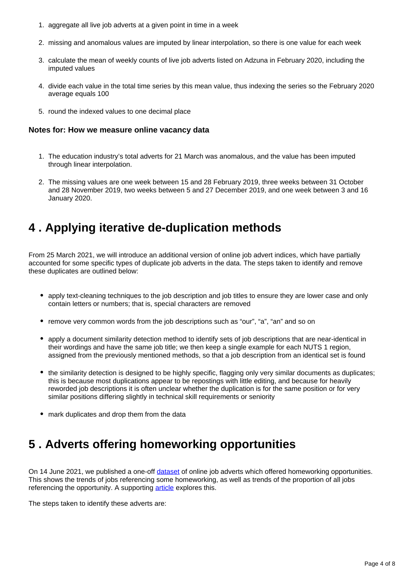- 1. aggregate all live job adverts at a given point in time in a week
- 2. missing and anomalous values are imputed by linear interpolation, so there is one value for each week
- 3. calculate the mean of weekly counts of live job adverts listed on Adzuna in February 2020, including the imputed values
- 4. divide each value in the total time series by this mean value, thus indexing the series so the February 2020 average equals 100
- 5. round the indexed values to one decimal place

#### **Notes for: How we measure online vacancy data**

- 1. The education industry's total adverts for 21 March was anomalous, and the value has been imputed through linear interpolation.
- 2. The missing values are one week between 15 and 28 February 2019, three weeks between 31 October and 28 November 2019, two weeks between 5 and 27 December 2019, and one week between 3 and 16 January 2020.

### <span id="page-3-0"></span>**4 . Applying iterative de-duplication methods**

From 25 March 2021, we will introduce an additional version of online job advert indices, which have partially accounted for some specific types of duplicate job adverts in the data. The steps taken to identify and remove these duplicates are outlined below:

- apply text-cleaning techniques to the job description and job titles to ensure they are lower case and only contain letters or numbers; that is, special characters are removed
- remove very common words from the job descriptions such as "our", "a", "an" and so on
- apply a document similarity detection method to identify sets of job descriptions that are near-identical in their wordings and have the same job title; we then keep a single example for each NUTS 1 region, assigned from the previously mentioned methods, so that a job description from an identical set is found
- the similarity detection is designed to be highly specific, flagging only very similar documents as duplicates; this is because most duplications appear to be repostings with little editing, and because for heavily reworded job descriptions it is often unclear whether the duplication is for the same position or for very similar positions differing slightly in technical skill requirements or seniority
- mark duplicates and drop them from the data

### <span id="page-3-1"></span>**5 . Adverts offering homeworking opportunities**

On 14 June 2021, we published a one-off [dataset](https://www.ons.gov.uk/employmentandlabourmarket/peopleinwork/employmentandemployeetypes/datasets/onlineremoteworkingjobvacanciesestimates) of online job adverts which offered homeworking opportunities. This shows the trends of jobs referencing some homeworking, as well as trends of the proportion of all jobs referencing the opportunity. A supporting **article** explores this.

The steps taken to identify these adverts are: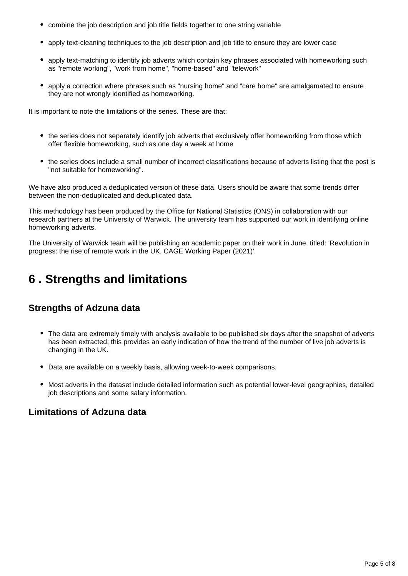- combine the job description and job title fields together to one string variable
- apply text-cleaning techniques to the job description and job title to ensure they are lower case
- apply text-matching to identify job adverts which contain key phrases associated with homeworking such as "remote working", "work from home", "home-based" and "telework"
- apply a correction where phrases such as "nursing home" and "care home" are amalgamated to ensure they are not wrongly identified as homeworking.

It is important to note the limitations of the series. These are that:

- the series does not separately identify job adverts that exclusively offer homeworking from those which offer flexible homeworking, such as one day a week at home
- the series does include a small number of incorrect classifications because of adverts listing that the post is "not suitable for homeworking".

We have also produced a deduplicated version of these data. Users should be aware that some trends differ between the non-deduplicated and deduplicated data.

This methodology has been produced by the Office for National Statistics (ONS) in collaboration with our research partners at the University of Warwick. The university team has supported our work in identifying online homeworking adverts.

The University of Warwick team will be publishing an academic paper on their work in June, titled: 'Revolution in progress: the rise of remote work in the UK. CAGE Working Paper (2021)'.

### <span id="page-4-0"></span>**6 . Strengths and limitations**

#### **Strengths of Adzuna data**

- The data are extremely timely with analysis available to be published six days after the snapshot of adverts has been extracted; this provides an early indication of how the trend of the number of live job adverts is changing in the UK.
- Data are available on a weekly basis, allowing week-to-week comparisons.
- Most adverts in the dataset include detailed information such as potential lower-level geographies, detailed job descriptions and some salary information.

#### **Limitations of Adzuna data**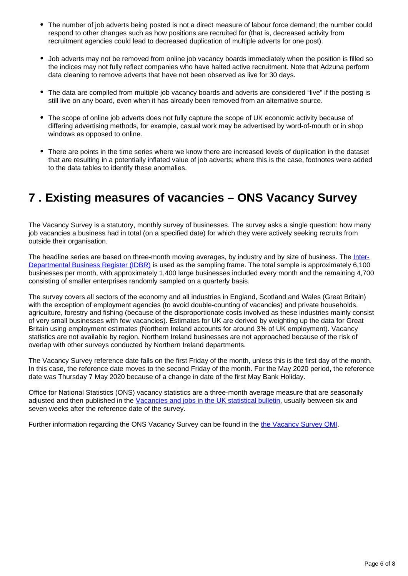- The number of job adverts being posted is not a direct measure of labour force demand; the number could respond to other changes such as how positions are recruited for (that is, decreased activity from recruitment agencies could lead to decreased duplication of multiple adverts for one post).
- Job adverts may not be removed from online job vacancy boards immediately when the position is filled so the indices may not fully reflect companies who have halted active recruitment. Note that Adzuna perform data cleaning to remove adverts that have not been observed as live for 30 days.
- The data are compiled from multiple job vacancy boards and adverts are considered "live" if the posting is still live on any board, even when it has already been removed from an alternative source.
- The scope of online job adverts does not fully capture the scope of UK economic activity because of differing advertising methods, for example, casual work may be advertised by word-of-mouth or in shop windows as opposed to online.
- There are points in the time series where we know there are increased levels of duplication in the dataset that are resulting in a potentially inflated value of job adverts; where this is the case, footnotes were added to the data tables to identify these anomalies.

### <span id="page-5-0"></span>**7 . Existing measures of vacancies – ONS Vacancy Survey**

The Vacancy Survey is a statutory, monthly survey of businesses. The survey asks a single question: how many job vacancies a business had in total (on a specified date) for which they were actively seeking recruits from outside their organisation.

The headline series are based on three-month moving averages, by industry and by size of business. The [Inter-](https://www.ons.gov.uk/aboutus/whatwedo/paidservices/interdepartmentalbusinessregisteridbr)[Departmental Business Register \(IDBR\)](https://www.ons.gov.uk/aboutus/whatwedo/paidservices/interdepartmentalbusinessregisteridbr) is used as the sampling frame. The total sample is approximately 6,100 businesses per month, with approximately 1,400 large businesses included every month and the remaining 4,700 consisting of smaller enterprises randomly sampled on a quarterly basis.

The survey covers all sectors of the economy and all industries in England, Scotland and Wales (Great Britain) with the exception of employment agencies (to avoid double-counting of vacancies) and private households, agriculture, forestry and fishing (because of the disproportionate costs involved as these industries mainly consist of very small businesses with few vacancies). Estimates for UK are derived by weighting up the data for Great Britain using employment estimates (Northern Ireland accounts for around 3% of UK employment). Vacancy statistics are not available by region. Northern Ireland businesses are not approached because of the risk of overlap with other surveys conducted by Northern Ireland departments.

The Vacancy Survey reference date falls on the first Friday of the month, unless this is the first day of the month. In this case, the reference date moves to the second Friday of the month. For the May 2020 period, the reference date was Thursday 7 May 2020 because of a change in date of the first May Bank Holiday.

Office for National Statistics (ONS) vacancy statistics are a three-month average measure that are seasonally adjusted and then published in the [Vacancies and jobs in the UK statistical bulletin,](https://www.ons.gov.uk/employmentandlabourmarket/peopleinwork/employmentandemployeetypes/bulletins/jobsandvacanciesintheuk/may2020) usually between six and seven weeks after the reference date of the survey.

Further information regarding the ONS Vacancy Survey can be found in the [the Vacancy Survey QMI](https://www.ons.gov.uk/employmentandlabourmarket/peopleinwork/employmentandemployeetypes/methodologies/vacancysurveyqmi).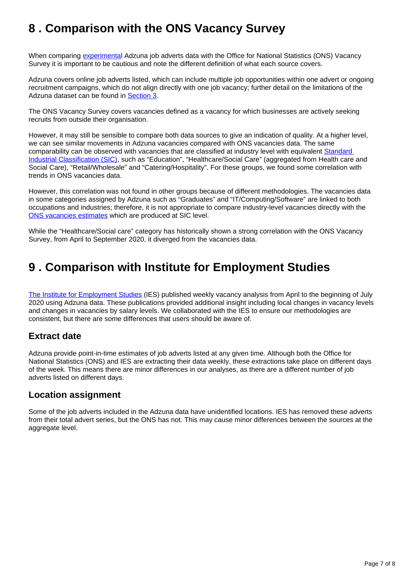### <span id="page-6-0"></span>**8 . Comparison with the ONS Vacancy Survey**

When comparing [experimental](https://www.ons.gov.uk/methodology/methodologytopicsandstatisticalconcepts/guidetoexperimentalstatistics) Adzuna job adverts data with the Office for National Statistics (ONS) Vacancy Survey it is important to be cautious and note the different definition of what each source covers.

Adzuna covers online job adverts listed, which can include multiple job opportunities within one advert or ongoing recruitment campaigns, which do not align directly with one job vacancy; further detail on the limitations of the Adzuna dataset can be found in [Section 3.](https://www.ons.gov.uk/peoplepopulationandcommunity/healthandsocialcare/conditionsanddiseases/methodologies/usingadzunadatatoderiveanindicatorofweeklyvacanciesexperimentalstatistics#how-we-measure-online-vacancy-data)

The ONS Vacancy Survey covers vacancies defined as a vacancy for which businesses are actively seeking recruits from outside their organisation.

However, it may still be sensible to compare both data sources to give an indication of quality. At a higher level, we can see similar movements in Adzuna vacancies compared with ONS vacancies data. The same comparability can be observed with vacancies that are classified at industry level with equivalent [Standard](https://www.gov.uk/government/publications/standard-industrial-classification-of-economic-activities-sic)  [Industrial Classification \(SIC\)](https://www.gov.uk/government/publications/standard-industrial-classification-of-economic-activities-sic), such as "Education", "Healthcare/Social Care" (aggregated from Health care and Social Care), "Retail/Wholesale" and "Catering/Hospitality". For these groups, we found some correlation with trends in ONS vacancies data.

However, this correlation was not found in other groups because of different methodologies. The vacancies data in some categories assigned by Adzuna such as "Graduates" and "IT/Computing/Software" are linked to both occupations and industries; therefore, it is not appropriate to compare industry-level vacancies directly with the [ONS vacancies estimates](https://www.ons.gov.uk/employmentandlabourmarket/peopleinwork/employmentandemployeetypes/bulletins/jobsandvacanciesintheuk/may2020) which are produced at SIC level.

While the "Healthcare/Social care" category has historically shown a strong correlation with the ONS Vacancy Survey, from April to September 2020, it diverged from the vacancies data.

### <span id="page-6-1"></span>**9 . Comparison with Institute for Employment Studies**

[The Institute for Employment Studies](https://www.employment-studies.co.uk/) (IES) published weekly vacancy analysis from April to the beginning of July 2020 using Adzuna data. These publications provided additional insight including local changes in vacancy levels and changes in vacancies by salary levels. We collaborated with the IES to ensure our methodologies are consistent, but there are some differences that users should be aware of.

#### **Extract date**

Adzuna provide point-in-time estimates of job adverts listed at any given time. Although both the Office for National Statistics (ONS) and IES are extracting their data weekly, these extractions take place on different days of the week. This means there are minor differences in our analyses, as there are a different number of job adverts listed on different days.

#### **Location assignment**

Some of the job adverts included in the Adzuna data have unidentified locations. IES has removed these adverts from their total advert series, but the ONS has not. This may cause minor differences between the sources at the aggregate level.